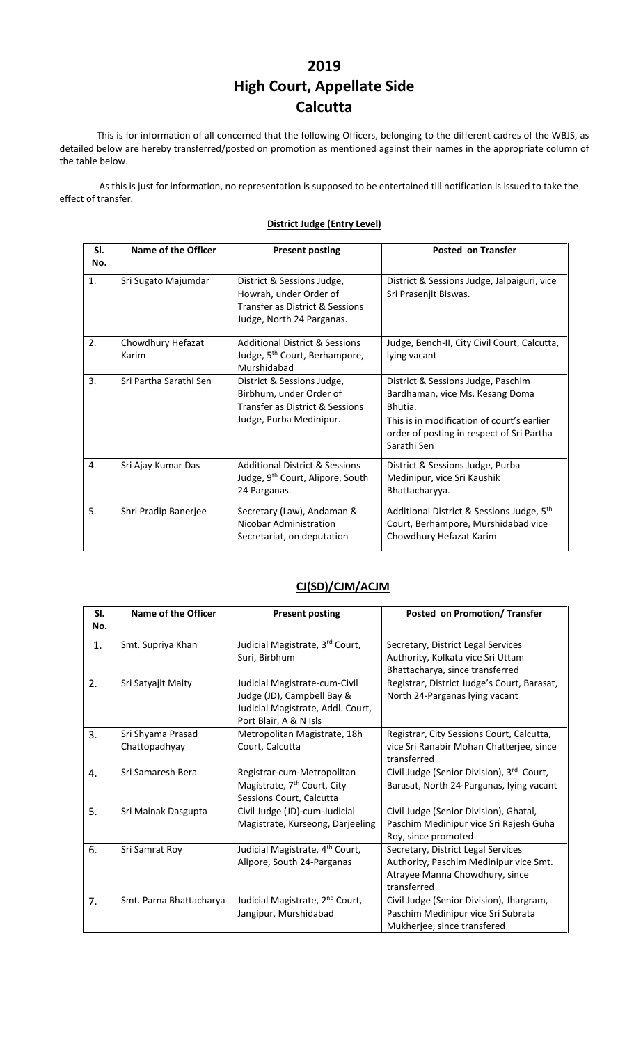## **2019 High Court, Appellate Side Calcutta**

This is for information of all concerned that the following Officers, belonging to the different cadres of the WBJS, as detailed below are hereby transferred/posted on promotion as mentioned against their names in the appropriate column of the table below.

As this is just for information, no representation is supposed to be entertained till notification is issued to take the effect of transfer.

## **District Judge (Entry Level)**

| SI.<br>No. | Name of the Officer        | <b>Present posting</b>                                                                                               | <b>Posted on Transfer</b>                                                                                                                                                                  |
|------------|----------------------------|----------------------------------------------------------------------------------------------------------------------|--------------------------------------------------------------------------------------------------------------------------------------------------------------------------------------------|
| 1.         | Sri Sugato Majumdar        | District & Sessions Judge,<br>Howrah, under Order of<br>Transfer as District & Sessions<br>Judge, North 24 Parganas. | District & Sessions Judge, Jalpaiguri, vice<br>Sri Prasenjit Biswas.                                                                                                                       |
| 2.         | Chowdhury Hefazat<br>Karim | <b>Additional District &amp; Sessions</b><br>Judge, 5 <sup>th</sup> Court, Berhampore,<br>Murshidabad                | Judge, Bench-II, City Civil Court, Calcutta,<br>lying vacant                                                                                                                               |
| 3.         | Sri Partha Sarathi Sen     | District & Sessions Judge,<br>Birbhum, under Order of<br>Transfer as District & Sessions<br>Judge, Purba Medinipur.  | District & Sessions Judge, Paschim<br>Bardhaman, vice Ms. Kesang Doma<br>Bhutia.<br>This is in modification of court's earlier<br>order of posting in respect of Sri Partha<br>Sarathi Sen |
| 4.         | Sri Ajay Kumar Das         | <b>Additional District &amp; Sessions</b><br>Judge, 9 <sup>th</sup> Court, Alipore, South<br>24 Parganas.            | District & Sessions Judge, Purba<br>Medinipur, vice Sri Kaushik<br>Bhattacharyya.                                                                                                          |
| 5.         | Shri Pradip Banerjee       | Secretary (Law), Andaman &<br>Nicobar Administration<br>Secretariat, on deputation                                   | Additional District & Sessions Judge, 5 <sup>th</sup><br>Court, Berhampore, Murshidabad vice<br>Chowdhury Hefazat Karim                                                                    |

## **CJ(SD)/CJM/ACJM**

| SI.<br>No. | <b>Name of the Officer</b>         | <b>Present posting</b>                                                                                                     | Posted on Promotion/ Transfer                                                                                                 |
|------------|------------------------------------|----------------------------------------------------------------------------------------------------------------------------|-------------------------------------------------------------------------------------------------------------------------------|
| 1.         | Smt. Supriya Khan                  | Judicial Magistrate, 3rd Court,<br>Suri, Birbhum                                                                           | Secretary, District Legal Services<br>Authority, Kolkata vice Sri Uttam<br>Bhattacharya, since transferred                    |
| 2.         | Sri Satyajit Maity                 | Judicial Magistrate-cum-Civil<br>Judge (JD), Campbell Bay &<br>Judicial Magistrate, Addl. Court,<br>Port Blair, A & N Isls | Registrar, District Judge's Court, Barasat,<br>North 24-Parganas lying vacant                                                 |
| 3.         | Sri Shyama Prasad<br>Chattopadhyay | Metropolitan Magistrate, 18h<br>Court, Calcutta                                                                            | Registrar, City Sessions Court, Calcutta,<br>vice Sri Ranabir Mohan Chatterjee, since<br>transferred                          |
| 4.         | Sri Samaresh Bera                  | Registrar-cum-Metropolitan<br>Magistrate, 7 <sup>th</sup> Court, City<br>Sessions Court, Calcutta                          | Civil Judge (Senior Division), 3rd Court,<br>Barasat, North 24-Parganas, lying vacant                                         |
| 5.         | Sri Mainak Dasgupta                | Civil Judge (JD)-cum-Judicial<br>Magistrate, Kurseong, Darjeeling                                                          | Civil Judge (Senior Division), Ghatal,<br>Paschim Medinipur vice Sri Rajesh Guha<br>Roy, since promoted                       |
| 6.         | Sri Samrat Roy                     | Judicial Magistrate, 4 <sup>th</sup> Court,<br>Alipore, South 24-Parganas                                                  | Secretary, District Legal Services<br>Authority, Paschim Medinipur vice Smt.<br>Atrayee Manna Chowdhury, since<br>transferred |
| 7.         | Smt. Parna Bhattacharya            | Judicial Magistrate, 2 <sup>nd</sup> Court,<br>Jangipur, Murshidabad                                                       | Civil Judge (Senior Division), Jhargram,<br>Paschim Medinipur vice Sri Subrata<br>Mukherjee, since transfered                 |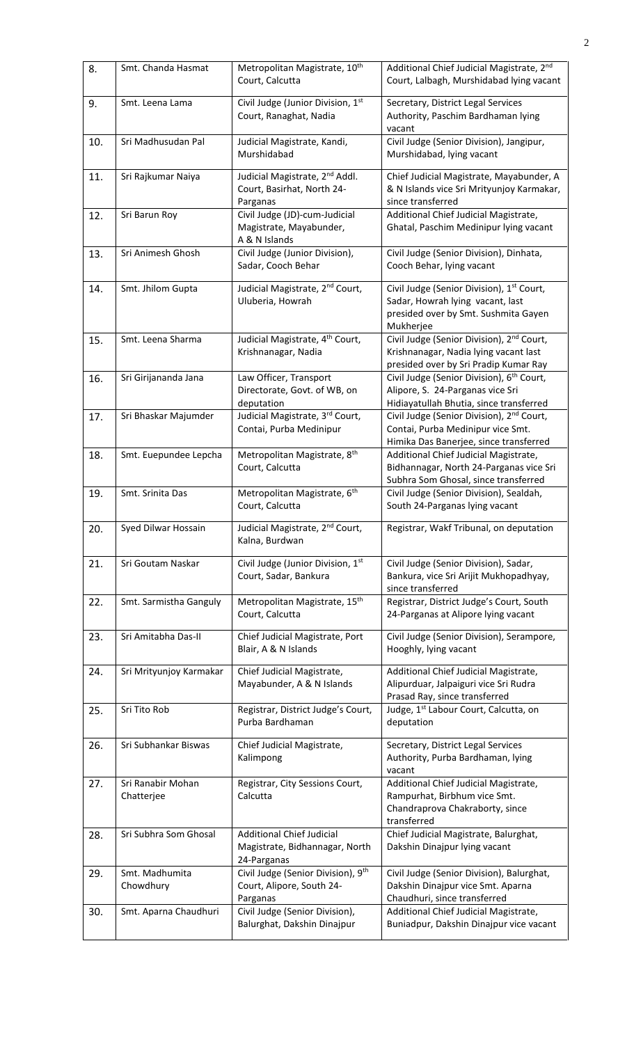| 8.  | Smt. Chanda Hasmat              | Metropolitan Magistrate, 10 <sup>th</sup><br>Court, Calcutta                         | Additional Chief Judicial Magistrate, 2nd<br>Court, Lalbagh, Murshidabad lying vacant                                                          |
|-----|---------------------------------|--------------------------------------------------------------------------------------|------------------------------------------------------------------------------------------------------------------------------------------------|
| 9.  | Smt. Leena Lama                 | Civil Judge (Junior Division, 1st<br>Court, Ranaghat, Nadia                          | Secretary, District Legal Services<br>Authority, Paschim Bardhaman lying<br>vacant                                                             |
| 10. | Sri Madhusudan Pal              | Judicial Magistrate, Kandi,<br>Murshidabad                                           | Civil Judge (Senior Division), Jangipur,<br>Murshidabad, lying vacant                                                                          |
| 11. | Sri Rajkumar Naiya              | Judicial Magistrate, 2 <sup>nd</sup> Addl.<br>Court, Basirhat, North 24-<br>Parganas | Chief Judicial Magistrate, Mayabunder, A<br>& N Islands vice Sri Mrityunjoy Karmakar,<br>since transferred                                     |
| 12. | Sri Barun Roy                   | Civil Judge (JD)-cum-Judicial<br>Magistrate, Mayabunder,<br>A & N Islands            | Additional Chief Judicial Magistrate,<br>Ghatal, Paschim Medinipur lying vacant                                                                |
| 13. | Sri Animesh Ghosh               | Civil Judge (Junior Division),<br>Sadar, Cooch Behar                                 | Civil Judge (Senior Division), Dinhata,<br>Cooch Behar, lying vacant                                                                           |
| 14. | Smt. Jhilom Gupta               | Judicial Magistrate, 2 <sup>nd</sup> Court,<br>Uluberia, Howrah                      | Civil Judge (Senior Division), 1 <sup>st</sup> Court,<br>Sadar, Howrah lying vacant, last<br>presided over by Smt. Sushmita Gayen<br>Mukherjee |
| 15. | Smt. Leena Sharma               | Judicial Magistrate, 4 <sup>th</sup> Court,<br>Krishnanagar, Nadia                   | Civil Judge (Senior Division), 2 <sup>nd</sup> Court,<br>Krishnanagar, Nadia lying vacant last<br>presided over by Sri Pradip Kumar Ray        |
| 16. | Sri Girijananda Jana            | Law Officer, Transport<br>Directorate, Govt. of WB, on<br>deputation                 | Civil Judge (Senior Division), 6 <sup>th</sup> Court,<br>Alipore, S. 24-Parganas vice Sri<br>Hidiayatullah Bhutia, since transferred           |
| 17. | Sri Bhaskar Majumder            | Judicial Magistrate, 3rd Court,<br>Contai, Purba Medinipur                           | Civil Judge (Senior Division), 2 <sup>nd</sup> Court,<br>Contai, Purba Medinipur vice Smt.<br>Himika Das Banerjee, since transferred           |
| 18. | Smt. Euepundee Lepcha           | Metropolitan Magistrate, 8 <sup>th</sup><br>Court, Calcutta                          | Additional Chief Judicial Magistrate,<br>Bidhannagar, North 24-Parganas vice Sri<br>Subhra Som Ghosal, since transferred                       |
| 19. | Smt. Srinita Das                | Metropolitan Magistrate, 6 <sup>th</sup><br>Court, Calcutta                          | Civil Judge (Senior Division), Sealdah,<br>South 24-Parganas lying vacant                                                                      |
| 20. | Syed Dilwar Hossain             | Judicial Magistrate, 2 <sup>nd</sup> Court,<br>Kalna, Burdwan                        | Registrar, Wakf Tribunal, on deputation                                                                                                        |
| 21. | Sri Goutam Naskar               | Civil Judge (Junior Division, 1st<br>Court, Sadar, Bankura                           | Civil Judge (Senior Division), Sadar,<br>Bankura, vice Sri Arijit Mukhopadhyay,<br>since transferred                                           |
| 22. | Smt. Sarmistha Ganguly          | Metropolitan Magistrate, 15 <sup>th</sup><br>Court, Calcutta                         | Registrar, District Judge's Court, South<br>24-Parganas at Alipore lying vacant                                                                |
| 23. | Sri Amitabha Das-II             | Chief Judicial Magistrate, Port<br>Blair, A & N Islands                              | Civil Judge (Senior Division), Serampore,<br>Hooghly, lying vacant                                                                             |
| 24. | Sri Mrityunjoy Karmakar         | Chief Judicial Magistrate,<br>Mayabunder, A & N Islands                              | Additional Chief Judicial Magistrate,<br>Alipurduar, Jalpaiguri vice Sri Rudra<br>Prasad Ray, since transferred                                |
| 25. | Sri Tito Rob                    | Registrar, District Judge's Court,<br>Purba Bardhaman                                | Judge, 1 <sup>st</sup> Labour Court, Calcutta, on<br>deputation                                                                                |
| 26. | Sri Subhankar Biswas            | Chief Judicial Magistrate,<br>Kalimpong                                              | Secretary, District Legal Services<br>Authority, Purba Bardhaman, lying<br>vacant                                                              |
| 27. | Sri Ranabir Mohan<br>Chatterjee | Registrar, City Sessions Court,<br>Calcutta                                          | Additional Chief Judicial Magistrate,<br>Rampurhat, Birbhum vice Smt.<br>Chandraprova Chakraborty, since<br>transferred                        |
| 28. | Sri Subhra Som Ghosal           | <b>Additional Chief Judicial</b><br>Magistrate, Bidhannagar, North<br>24-Parganas    | Chief Judicial Magistrate, Balurghat,<br>Dakshin Dinajpur lying vacant                                                                         |
| 29. | Smt. Madhumita<br>Chowdhury     | Civil Judge (Senior Division), 9th<br>Court, Alipore, South 24-<br>Parganas          | Civil Judge (Senior Division), Balurghat,<br>Dakshin Dinajpur vice Smt. Aparna<br>Chaudhuri, since transferred                                 |
| 30. | Smt. Aparna Chaudhuri           | Civil Judge (Senior Division),<br>Balurghat, Dakshin Dinajpur                        | Additional Chief Judicial Magistrate,<br>Buniadpur, Dakshin Dinajpur vice vacant                                                               |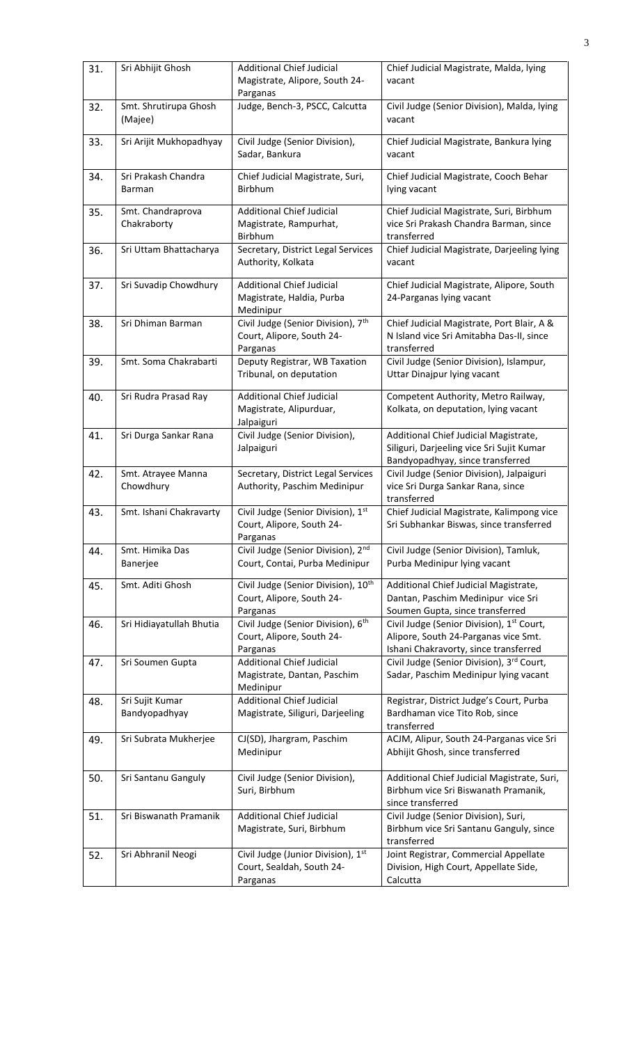| 31. | Sri Abhijit Ghosh                | <b>Additional Chief Judicial</b><br>Magistrate, Alipore, South 24-<br>Parganas           | Chief Judicial Magistrate, Malda, lying<br>vacant                                                                                      |
|-----|----------------------------------|------------------------------------------------------------------------------------------|----------------------------------------------------------------------------------------------------------------------------------------|
| 32. | Smt. Shrutirupa Ghosh<br>(Majee) | Judge, Bench-3, PSCC, Calcutta                                                           | Civil Judge (Senior Division), Malda, lying<br>vacant                                                                                  |
| 33. | Sri Arijit Mukhopadhyay          | Civil Judge (Senior Division),<br>Sadar, Bankura                                         | Chief Judicial Magistrate, Bankura lying<br>vacant                                                                                     |
| 34. | Sri Prakash Chandra<br>Barman    | Chief Judicial Magistrate, Suri,<br>Birbhum                                              | Chief Judicial Magistrate, Cooch Behar<br>lying vacant                                                                                 |
| 35. | Smt. Chandraprova<br>Chakraborty | <b>Additional Chief Judicial</b><br>Magistrate, Rampurhat,<br>Birbhum                    | Chief Judicial Magistrate, Suri, Birbhum<br>vice Sri Prakash Chandra Barman, since<br>transferred                                      |
| 36. | Sri Uttam Bhattacharya           | Secretary, District Legal Services<br>Authority, Kolkata                                 | Chief Judicial Magistrate, Darjeeling lying<br>vacant                                                                                  |
| 37. | Sri Suvadip Chowdhury            | <b>Additional Chief Judicial</b><br>Magistrate, Haldia, Purba<br>Medinipur               | Chief Judicial Magistrate, Alipore, South<br>24-Parganas lying vacant                                                                  |
| 38. | Sri Dhiman Barman                | Civil Judge (Senior Division), 7 <sup>th</sup><br>Court, Alipore, South 24-<br>Parganas  | Chief Judicial Magistrate, Port Blair, A &<br>N Island vice Sri Amitabha Das-II, since<br>transferred                                  |
| 39. | Smt. Soma Chakrabarti            | Deputy Registrar, WB Taxation<br>Tribunal, on deputation                                 | Civil Judge (Senior Division), Islampur,<br>Uttar Dinajpur lying vacant                                                                |
| 40. | Sri Rudra Prasad Ray             | <b>Additional Chief Judicial</b><br>Magistrate, Alipurduar,<br>Jalpaiguri                | Competent Authority, Metro Railway,<br>Kolkata, on deputation, lying vacant                                                            |
| 41. | Sri Durga Sankar Rana            | Civil Judge (Senior Division),<br>Jalpaiguri                                             | Additional Chief Judicial Magistrate,<br>Siliguri, Darjeeling vice Sri Sujit Kumar<br>Bandyopadhyay, since transferred                 |
| 42. | Smt. Atrayee Manna<br>Chowdhury  | Secretary, District Legal Services<br>Authority, Paschim Medinipur                       | Civil Judge (Senior Division), Jalpaiguri<br>vice Sri Durga Sankar Rana, since<br>transferred                                          |
| 43. | Smt. Ishani Chakravarty          | Civil Judge (Senior Division), 1st<br>Court, Alipore, South 24-<br>Parganas              | Chief Judicial Magistrate, Kalimpong vice<br>Sri Subhankar Biswas, since transferred                                                   |
| 44. | Smt. Himika Das<br>Banerjee      | Civil Judge (Senior Division), 2nd<br>Court, Contai, Purba Medinipur                     | Civil Judge (Senior Division), Tamluk,<br>Purba Medinipur lying vacant                                                                 |
| 45. | Smt. Aditi Ghosh                 | Civil Judge (Senior Division), 10 <sup>th</sup><br>Court, Alipore, South 24-<br>Parganas | Additional Chief Judicial Magistrate,<br>Dantan, Paschim Medinipur vice Sri<br>Soumen Gupta, since transferred                         |
| 46. | Sri Hidiayatullah Bhutia         | Civil Judge (Senior Division), 6 <sup>th</sup><br>Court, Alipore, South 24-<br>Parganas  | Civil Judge (Senior Division), 1 <sup>st</sup> Court,<br>Alipore, South 24-Parganas vice Smt.<br>Ishani Chakravorty, since transferred |
| 47. | Sri Soumen Gupta                 | <b>Additional Chief Judicial</b><br>Magistrate, Dantan, Paschim<br>Medinipur             | Civil Judge (Senior Division), 3rd Court,<br>Sadar, Paschim Medinipur lying vacant                                                     |
| 48. | Sri Sujit Kumar<br>Bandyopadhyay | <b>Additional Chief Judicial</b><br>Magistrate, Siliguri, Darjeeling                     | Registrar, District Judge's Court, Purba<br>Bardhaman vice Tito Rob, since<br>transferred                                              |
| 49. | Sri Subrata Mukherjee            | CJ(SD), Jhargram, Paschim<br>Medinipur                                                   | ACJM, Alipur, South 24-Parganas vice Sri<br>Abhijit Ghosh, since transferred                                                           |
| 50. | Sri Santanu Ganguly              | Civil Judge (Senior Division),<br>Suri, Birbhum                                          | Additional Chief Judicial Magistrate, Suri,<br>Birbhum vice Sri Biswanath Pramanik,<br>since transferred                               |
| 51. | Sri Biswanath Pramanik           | <b>Additional Chief Judicial</b><br>Magistrate, Suri, Birbhum                            | Civil Judge (Senior Division), Suri,<br>Birbhum vice Sri Santanu Ganguly, since<br>transferred                                         |
| 52. | Sri Abhranil Neogi               | Civil Judge (Junior Division), 1st<br>Court, Sealdah, South 24-<br>Parganas              | Joint Registrar, Commercial Appellate<br>Division, High Court, Appellate Side,<br>Calcutta                                             |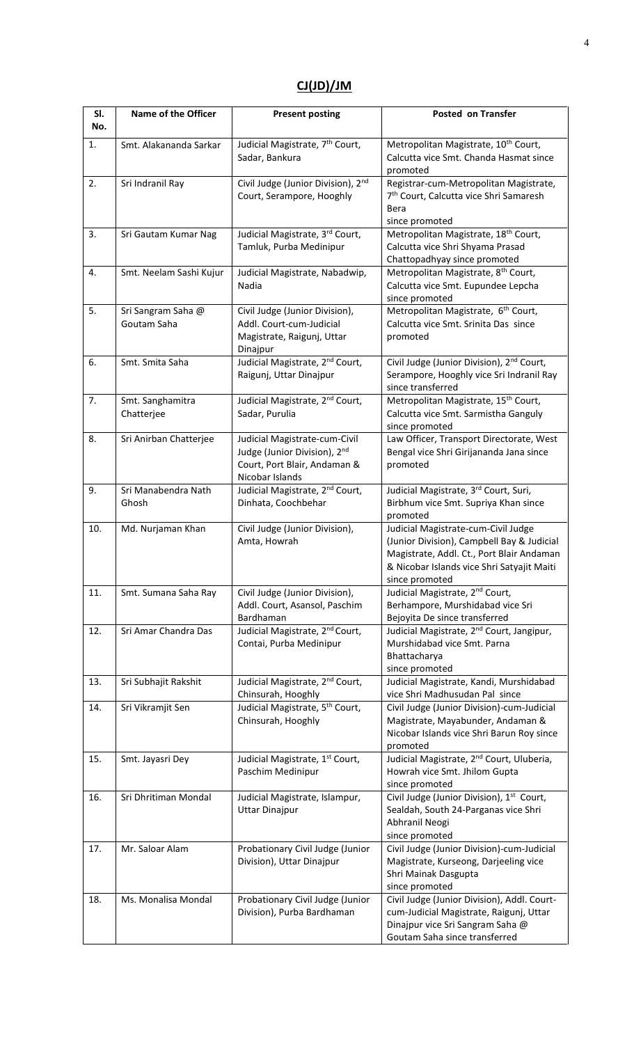## **CJ(JD)/JM**

| SI.<br>No. | Name of the Officer               | <b>Present posting</b>                                                                                                       | <b>Posted on Transfer</b>                                                                                                                                                                      |
|------------|-----------------------------------|------------------------------------------------------------------------------------------------------------------------------|------------------------------------------------------------------------------------------------------------------------------------------------------------------------------------------------|
| 1.         | Smt. Alakananda Sarkar            | Judicial Magistrate, 7 <sup>th</sup> Court,<br>Sadar, Bankura                                                                | Metropolitan Magistrate, 10 <sup>th</sup> Court,<br>Calcutta vice Smt. Chanda Hasmat since<br>promoted                                                                                         |
| 2.         | Sri Indranil Ray                  | Civil Judge (Junior Division), 2 <sup>nd</sup><br>Court, Serampore, Hooghly                                                  | Registrar-cum-Metropolitan Magistrate,<br>7 <sup>th</sup> Court, Calcutta vice Shri Samaresh<br>Bera<br>since promoted                                                                         |
| 3.         | Sri Gautam Kumar Nag              | Judicial Magistrate, 3rd Court,<br>Tamluk, Purba Medinipur                                                                   | Metropolitan Magistrate, 18 <sup>th</sup> Court,<br>Calcutta vice Shri Shyama Prasad<br>Chattopadhyay since promoted                                                                           |
| 4.         | Smt. Neelam Sashi Kujur           | Judicial Magistrate, Nabadwip,<br>Nadia                                                                                      | Metropolitan Magistrate, 8 <sup>th</sup> Court,<br>Calcutta vice Smt. Eupundee Lepcha<br>since promoted                                                                                        |
| 5.         | Sri Sangram Saha @<br>Goutam Saha | Civil Judge (Junior Division),<br>Addl. Court-cum-Judicial<br>Magistrate, Raigunj, Uttar<br>Dinajpur                         | Metropolitan Magistrate, 6 <sup>th</sup> Court,<br>Calcutta vice Smt. Srinita Das since<br>promoted                                                                                            |
| 6.         | Smt. Smita Saha                   | Judicial Magistrate, 2 <sup>nd</sup> Court,<br>Raigunj, Uttar Dinajpur                                                       | Civil Judge (Junior Division), 2 <sup>nd</sup> Court,<br>Serampore, Hooghly vice Sri Indranil Ray<br>since transferred                                                                         |
| 7.         | Smt. Sanghamitra<br>Chatterjee    | Judicial Magistrate, 2 <sup>nd</sup> Court,<br>Sadar, Purulia                                                                | Metropolitan Magistrate, 15 <sup>th</sup> Court,<br>Calcutta vice Smt. Sarmistha Ganguly<br>since promoted                                                                                     |
| 8.         | Sri Anirban Chatterjee            | Judicial Magistrate-cum-Civil<br>Judge (Junior Division), 2 <sup>nd</sup><br>Court, Port Blair, Andaman &<br>Nicobar Islands | Law Officer, Transport Directorate, West<br>Bengal vice Shri Girijananda Jana since<br>promoted                                                                                                |
| 9.         | Sri Manabendra Nath<br>Ghosh      | Judicial Magistrate, 2 <sup>nd</sup> Court,<br>Dinhata, Coochbehar                                                           | Judicial Magistrate, 3rd Court, Suri,<br>Birbhum vice Smt. Supriya Khan since<br>promoted                                                                                                      |
| 10.        | Md. Nurjaman Khan                 | Civil Judge (Junior Division),<br>Amta, Howrah                                                                               | Judicial Magistrate-cum-Civil Judge<br>(Junior Division), Campbell Bay & Judicial<br>Magistrate, Addl. Ct., Port Blair Andaman<br>& Nicobar Islands vice Shri Satyajit Maiti<br>since promoted |
| 11.        | Smt. Sumana Saha Ray              | Civil Judge (Junior Division),<br>Addl. Court, Asansol, Paschim<br>Bardhaman                                                 | Judicial Magistrate, 2 <sup>nd</sup> Court,<br>Berhampore, Murshidabad vice Sri<br>Bejoyita De since transferred                                                                               |
| 12.        | Sri Amar Chandra Das              | Judicial Magistrate, 2 <sup>nd</sup> Court,<br>Contai, Purba Medinipur                                                       | Judicial Magistrate, 2 <sup>nd</sup> Court, Jangipur,<br>Murshidabad vice Smt. Parna<br>Bhattacharya<br>since promoted                                                                         |
| 13.        | Sri Subhajit Rakshit              | Judicial Magistrate, 2 <sup>nd</sup> Court,<br>Chinsurah, Hooghly                                                            | Judicial Magistrate, Kandi, Murshidabad<br>vice Shri Madhusudan Pal since                                                                                                                      |
| 14.        | Sri Vikramjit Sen                 | Judicial Magistrate, 5 <sup>th</sup> Court,<br>Chinsurah, Hooghly                                                            | Civil Judge (Junior Division)-cum-Judicial<br>Magistrate, Mayabunder, Andaman &<br>Nicobar Islands vice Shri Barun Roy since<br>promoted                                                       |
| 15.        | Smt. Jayasri Dey                  | Judicial Magistrate, 1st Court,<br>Paschim Medinipur                                                                         | Judicial Magistrate, 2 <sup>nd</sup> Court, Uluberia,<br>Howrah vice Smt. Jhilom Gupta<br>since promoted                                                                                       |
| 16.        | Sri Dhritiman Mondal              | Judicial Magistrate, Islampur,<br><b>Uttar Dinajpur</b>                                                                      | Civil Judge (Junior Division), 1 <sup>st</sup> Court,<br>Sealdah, South 24-Parganas vice Shri<br>Abhranil Neogi<br>since promoted                                                              |
| 17.        | Mr. Saloar Alam                   | Probationary Civil Judge (Junior<br>Division), Uttar Dinajpur                                                                | Civil Judge (Junior Division)-cum-Judicial<br>Magistrate, Kurseong, Darjeeling vice<br>Shri Mainak Dasgupta<br>since promoted                                                                  |
| 18.        | Ms. Monalisa Mondal               | Probationary Civil Judge (Junior<br>Division), Purba Bardhaman                                                               | Civil Judge (Junior Division), Addl. Court-<br>cum-Judicial Magistrate, Raigunj, Uttar<br>Dinajpur vice Sri Sangram Saha @<br>Goutam Saha since transferred                                    |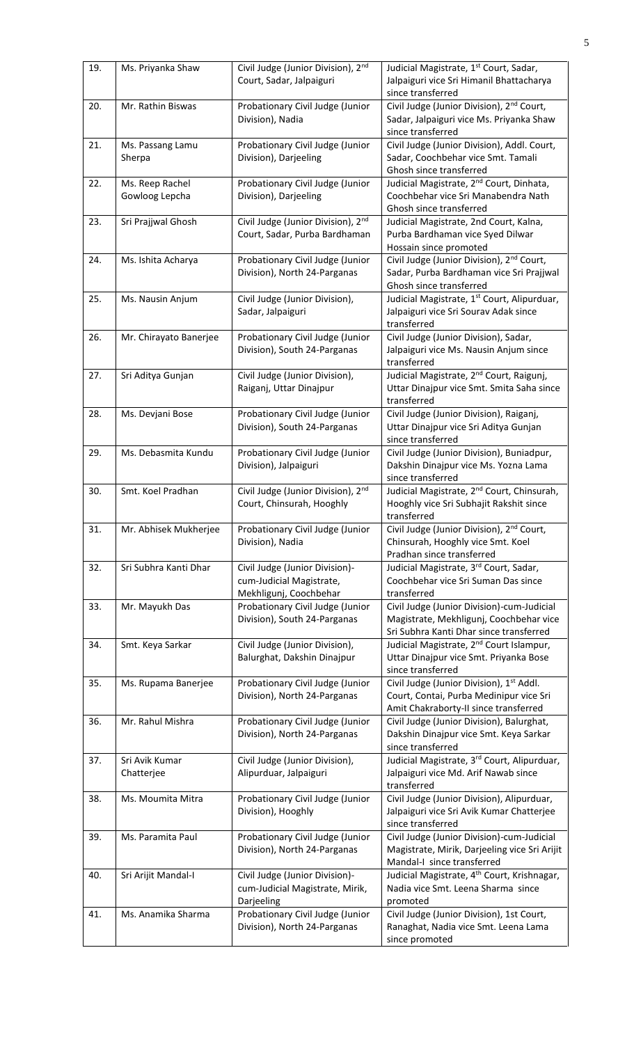| 19. | Ms. Priyanka Shaw                 | Civil Judge (Junior Division), 2nd<br>Court, Sadar, Jalpaiguri                       | Judicial Magistrate, 1 <sup>st</sup> Court, Sadar,<br>Jalpaiguri vice Sri Himanil Bhattacharya<br>since transferred              |
|-----|-----------------------------------|--------------------------------------------------------------------------------------|----------------------------------------------------------------------------------------------------------------------------------|
| 20. | Mr. Rathin Biswas                 | Probationary Civil Judge (Junior<br>Division), Nadia                                 | Civil Judge (Junior Division), 2 <sup>nd</sup> Court,<br>Sadar, Jalpaiguri vice Ms. Priyanka Shaw<br>since transferred           |
| 21. | Ms. Passang Lamu<br>Sherpa        | Probationary Civil Judge (Junior<br>Division), Darjeeling                            | Civil Judge (Junior Division), Addl. Court,<br>Sadar, Coochbehar vice Smt. Tamali<br>Ghosh since transferred                     |
| 22. | Ms. Reep Rachel<br>Gowloog Lepcha | Probationary Civil Judge (Junior<br>Division), Darjeeling                            | Judicial Magistrate, 2 <sup>nd</sup> Court, Dinhata,<br>Coochbehar vice Sri Manabendra Nath<br>Ghosh since transferred           |
| 23. | Sri Prajjwal Ghosh                | Civil Judge (Junior Division), 2nd<br>Court, Sadar, Purba Bardhaman                  | Judicial Magistrate, 2nd Court, Kalna,<br>Purba Bardhaman vice Syed Dilwar<br>Hossain since promoted                             |
| 24. | Ms. Ishita Acharya                | Probationary Civil Judge (Junior<br>Division), North 24-Parganas                     | Civil Judge (Junior Division), 2 <sup>nd</sup> Court,<br>Sadar, Purba Bardhaman vice Sri Prajjwal<br>Ghosh since transferred     |
| 25. | Ms. Nausin Anjum                  | Civil Judge (Junior Division),<br>Sadar, Jalpaiguri                                  | Judicial Magistrate, 1st Court, Alipurduar,<br>Jalpaiguri vice Sri Sourav Adak since<br>transferred                              |
| 26. | Mr. Chirayato Banerjee            | Probationary Civil Judge (Junior<br>Division), South 24-Parganas                     | Civil Judge (Junior Division), Sadar,<br>Jalpaiguri vice Ms. Nausin Anjum since<br>transferred                                   |
| 27. | Sri Aditya Gunjan                 | Civil Judge (Junior Division),<br>Raiganj, Uttar Dinajpur                            | Judicial Magistrate, 2 <sup>nd</sup> Court, Raigunj,<br>Uttar Dinajpur vice Smt. Smita Saha since<br>transferred                 |
| 28. | Ms. Devjani Bose                  | Probationary Civil Judge (Junior<br>Division), South 24-Parganas                     | Civil Judge (Junior Division), Raiganj,<br>Uttar Dinajpur vice Sri Aditya Gunjan<br>since transferred                            |
| 29. | Ms. Debasmita Kundu               | Probationary Civil Judge (Junior<br>Division), Jalpaiguri                            | Civil Judge (Junior Division), Buniadpur,<br>Dakshin Dinajpur vice Ms. Yozna Lama<br>since transferred                           |
| 30. | Smt. Koel Pradhan                 | Civil Judge (Junior Division), 2nd<br>Court, Chinsurah, Hooghly                      | Judicial Magistrate, 2 <sup>nd</sup> Court, Chinsurah,<br>Hooghly vice Sri Subhajit Rakshit since<br>transferred                 |
| 31. | Mr. Abhisek Mukherjee             | Probationary Civil Judge (Junior<br>Division), Nadia                                 | Civil Judge (Junior Division), 2 <sup>nd</sup> Court,<br>Chinsurah, Hooghly vice Smt. Koel<br>Pradhan since transferred          |
| 32. | Sri Subhra Kanti Dhar             | Civil Judge (Junior Division)-<br>cum-Judicial Magistrate,<br>Mekhligunj, Coochbehar | Judicial Magistrate, 3rd Court, Sadar,<br>Coochbehar vice Sri Suman Das since<br>transferred                                     |
| 33. | Mr. Mayukh Das                    | Probationary Civil Judge (Junior<br>Division), South 24-Parganas                     | Civil Judge (Junior Division)-cum-Judicial<br>Magistrate, Mekhligunj, Coochbehar vice<br>Sri Subhra Kanti Dhar since transferred |
| 34. | Smt. Keya Sarkar                  | Civil Judge (Junior Division),<br>Balurghat, Dakshin Dinajpur                        | Judicial Magistrate, 2 <sup>nd</sup> Court Islampur,<br>Uttar Dinajpur vice Smt. Priyanka Bose<br>since transferred              |
| 35. | Ms. Rupama Banerjee               | Probationary Civil Judge (Junior<br>Division), North 24-Parganas                     | Civil Judge (Junior Division), 1st Addl.<br>Court, Contai, Purba Medinipur vice Sri<br>Amit Chakraborty-II since transferred     |
| 36. | Mr. Rahul Mishra                  | Probationary Civil Judge (Junior<br>Division), North 24-Parganas                     | Civil Judge (Junior Division), Balurghat,<br>Dakshin Dinajpur vice Smt. Keya Sarkar<br>since transferred                         |
| 37. | Sri Avik Kumar<br>Chatterjee      | Civil Judge (Junior Division),<br>Alipurduar, Jalpaiguri                             | Judicial Magistrate, 3rd Court, Alipurduar,<br>Jalpaiguri vice Md. Arif Nawab since<br>transferred                               |
| 38. | Ms. Moumita Mitra                 | Probationary Civil Judge (Junior<br>Division), Hooghly                               | Civil Judge (Junior Division), Alipurduar,<br>Jalpaiguri vice Sri Avik Kumar Chatterjee<br>since transferred                     |
| 39. | Ms. Paramita Paul                 | Probationary Civil Judge (Junior<br>Division), North 24-Parganas                     | Civil Judge (Junior Division)-cum-Judicial<br>Magistrate, Mirik, Darjeeling vice Sri Arijit<br>Mandal-I since transferred        |
| 40. | Sri Arijit Mandal-I               | Civil Judge (Junior Division)-<br>cum-Judicial Magistrate, Mirik,<br>Darjeeling      | Judicial Magistrate, 4 <sup>th</sup> Court, Krishnagar,<br>Nadia vice Smt. Leena Sharma since<br>promoted                        |
| 41. | Ms. Anamika Sharma                | Probationary Civil Judge (Junior<br>Division), North 24-Parganas                     | Civil Judge (Junior Division), 1st Court,<br>Ranaghat, Nadia vice Smt. Leena Lama<br>since promoted                              |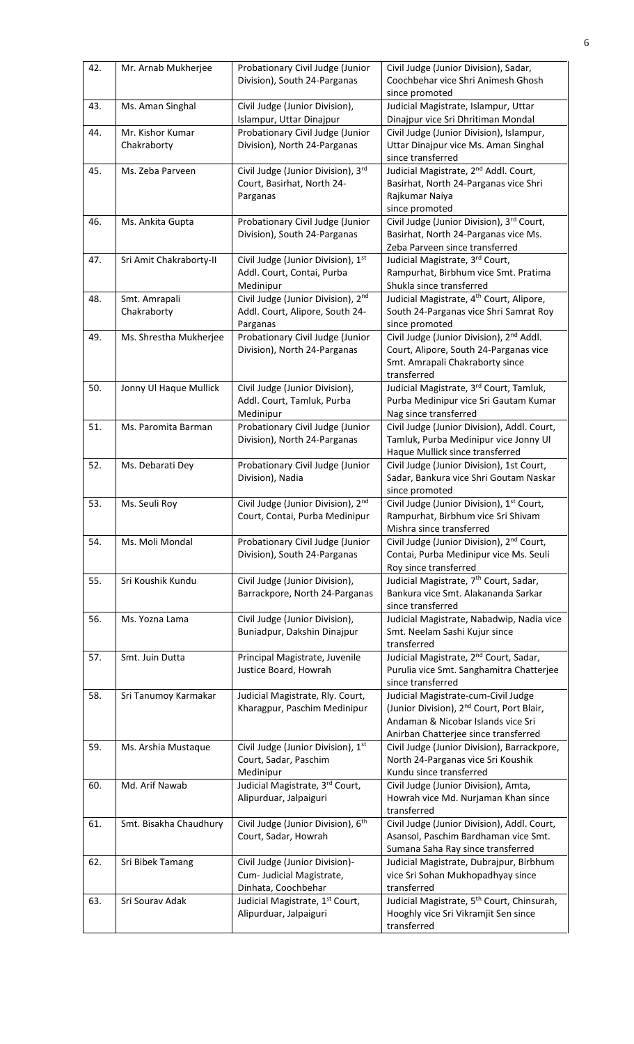| 42. | Mr. Arnab Mukherjee             | Probationary Civil Judge (Junior<br>Division), South 24-Parganas                   | Civil Judge (Junior Division), Sadar,<br>Coochbehar vice Shri Animesh Ghosh<br>since promoted                                                                              |
|-----|---------------------------------|------------------------------------------------------------------------------------|----------------------------------------------------------------------------------------------------------------------------------------------------------------------------|
| 43. | Ms. Aman Singhal                | Civil Judge (Junior Division),<br>Islampur, Uttar Dinajpur                         | Judicial Magistrate, Islampur, Uttar<br>Dinajpur vice Sri Dhritiman Mondal                                                                                                 |
| 44. | Mr. Kishor Kumar<br>Chakraborty | Probationary Civil Judge (Junior<br>Division), North 24-Parganas                   | Civil Judge (Junior Division), Islampur,<br>Uttar Dinajpur vice Ms. Aman Singhal<br>since transferred                                                                      |
| 45. | Ms. Zeba Parveen                | Civil Judge (Junior Division), 3rd<br>Court, Basirhat, North 24-<br>Parganas       | Judicial Magistrate, 2 <sup>nd</sup> Addl. Court,<br>Basirhat, North 24-Parganas vice Shri<br>Rajkumar Naiya<br>since promoted                                             |
| 46. | Ms. Ankita Gupta                | Probationary Civil Judge (Junior<br>Division), South 24-Parganas                   | Civil Judge (Junior Division), 3rd Court,<br>Basirhat, North 24-Parganas vice Ms.<br>Zeba Parveen since transferred                                                        |
| 47. | Sri Amit Chakraborty-II         | Civil Judge (Junior Division), 1st<br>Addl. Court, Contai, Purba<br>Medinipur      | Judicial Magistrate, 3rd Court,<br>Rampurhat, Birbhum vice Smt. Pratima<br>Shukla since transferred                                                                        |
| 48. | Smt. Amrapali<br>Chakraborty    | Civil Judge (Junior Division), 2nd<br>Addl. Court, Alipore, South 24-<br>Parganas  | Judicial Magistrate, 4 <sup>th</sup> Court, Alipore,<br>South 24-Parganas vice Shri Samrat Roy<br>since promoted                                                           |
| 49. | Ms. Shrestha Mukherjee          | Probationary Civil Judge (Junior<br>Division), North 24-Parganas                   | Civil Judge (Junior Division), 2 <sup>nd</sup> Addl.<br>Court, Alipore, South 24-Parganas vice<br>Smt. Amrapali Chakraborty since<br>transferred                           |
| 50. | Jonny Ul Haque Mullick          | Civil Judge (Junior Division),<br>Addl. Court, Tamluk, Purba<br>Medinipur          | Judicial Magistrate, 3rd Court, Tamluk,<br>Purba Medinipur vice Sri Gautam Kumar<br>Nag since transferred                                                                  |
| 51. | Ms. Paromita Barman             | Probationary Civil Judge (Junior<br>Division), North 24-Parganas                   | Civil Judge (Junior Division), Addl. Court,<br>Tamluk, Purba Medinipur vice Jonny Ul<br>Haque Mullick since transferred                                                    |
| 52. | Ms. Debarati Dey                | Probationary Civil Judge (Junior<br>Division), Nadia                               | Civil Judge (Junior Division), 1st Court,<br>Sadar, Bankura vice Shri Goutam Naskar<br>since promoted                                                                      |
| 53. | Ms. Seuli Roy                   | Civil Judge (Junior Division), 2nd<br>Court, Contai, Purba Medinipur               | Civil Judge (Junior Division), 1st Court,<br>Rampurhat, Birbhum vice Sri Shivam<br>Mishra since transferred                                                                |
| 54. | Ms. Moli Mondal                 | Probationary Civil Judge (Junior<br>Division), South 24-Parganas                   | Civil Judge (Junior Division), 2 <sup>nd</sup> Court,<br>Contai, Purba Medinipur vice Ms. Seuli<br>Roy since transferred                                                   |
| 55. | Sri Koushik Kundu               | Civil Judge (Junior Division),<br>Barrackpore, North 24-Parganas                   | Judicial Magistrate, 7 <sup>th</sup> Court, Sadar,<br>Bankura vice Smt. Alakananda Sarkar<br>since transferred                                                             |
| 56. | Ms. Yozna Lama                  | Civil Judge (Junior Division),<br>Buniadpur, Dakshin Dinajpur                      | Judicial Magistrate, Nabadwip, Nadia vice<br>Smt. Neelam Sashi Kujur since<br>transferred                                                                                  |
| 57. | Smt. Juin Dutta                 | Principal Magistrate, Juvenile<br>Justice Board, Howrah                            | Judicial Magistrate, 2 <sup>nd</sup> Court, Sadar,<br>Purulia vice Smt. Sanghamitra Chatterjee<br>since transferred                                                        |
| 58. | Sri Tanumoy Karmakar            | Judicial Magistrate, Rly. Court,<br>Kharagpur, Paschim Medinipur                   | Judicial Magistrate-cum-Civil Judge<br>(Junior Division), 2 <sup>nd</sup> Court, Port Blair,<br>Andaman & Nicobar Islands vice Sri<br>Anirban Chatterjee since transferred |
| 59. | Ms. Arshia Mustaque             | Civil Judge (Junior Division), 1st<br>Court, Sadar, Paschim                        | Civil Judge (Junior Division), Barrackpore,<br>North 24-Parganas vice Sri Koushik                                                                                          |
| 60. |                                 | Medinipur                                                                          | Kundu since transferred                                                                                                                                                    |
|     | Md. Arif Nawab                  | Judicial Magistrate, 3rd Court,<br>Alipurduar, Jalpaiguri                          | Civil Judge (Junior Division), Amta,<br>Howrah vice Md. Nurjaman Khan since<br>transferred                                                                                 |
| 61. | Smt. Bisakha Chaudhury          | Civil Judge (Junior Division), 6 <sup>th</sup><br>Court, Sadar, Howrah             | Civil Judge (Junior Division), Addl. Court,<br>Asansol, Paschim Bardhaman vice Smt.<br>Sumana Saha Ray since transferred                                                   |
| 62. | Sri Bibek Tamang                | Civil Judge (Junior Division)-<br>Cum- Judicial Magistrate,<br>Dinhata, Coochbehar | Judicial Magistrate, Dubrajpur, Birbhum<br>vice Sri Sohan Mukhopadhyay since<br>transferred                                                                                |